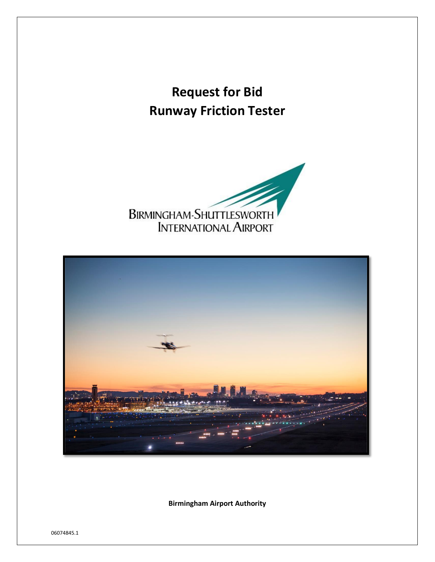# **Request for Bid Runway Friction Tester**





**Birmingham Airport Authority**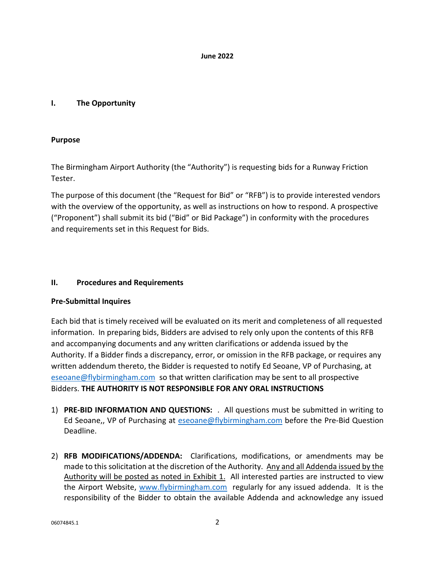#### **June 2022**

# **I. The Opportunity**

# **Purpose**

The Birmingham Airport Authority (the "Authority") is requesting bids for a Runway Friction Tester.

The purpose of this document (the "Request for Bid" or "RFB") is to provide interested vendors with the overview of the opportunity, as well as instructions on how to respond. A prospective ("Proponent") shall submit its bid ("Bid" or Bid Package") in conformity with the procedures and requirements set in this Request for Bids.

# **II. Procedures and Requirements**

# **Pre-Submittal Inquires**

Each bid that is timely received will be evaluated on its merit and completeness of all requested information. In preparing bids, Bidders are advised to rely only upon the contents of this RFB and accompanying documents and any written clarifications or addenda issued by the Authority. If a Bidder finds a discrepancy, error, or omission in the RFB package, or requires any written addendum thereto, the Bidder is requested to notify Ed Seoane, VP of Purchasing, at [eseoane@flybirmingham.com](mailto:eseoane@flybirmingham.com) so that written clarification may be sent to all prospective Bidders. **THE AUTHORITY IS NOT RESPONSIBLE FOR ANY ORAL INSTRUCTIONS**

- 1) **PRE-BID INFORMATION AND QUESTIONS:** . All questions must be submitted in writing to Ed Seoane,, VP of Purchasing at [eseoane@flybirmingham.com](mailto:eseoane@flybirmingham.com) before the Pre-Bid Question Deadline.
- 2) **RFB MODIFICATIONS/ADDENDA:** Clarifications, modifications, or amendments may be made to this solicitation at the discretion of the Authority. Any and all Addenda issued by the Authority will be posted as noted in Exhibit 1. All interested parties are instructed to view the Airport Website, [www.flybirmingham.com](http://www.flybirmingham.com/) regularly for any issued addenda. It is the responsibility of the Bidder to obtain the available Addenda and acknowledge any issued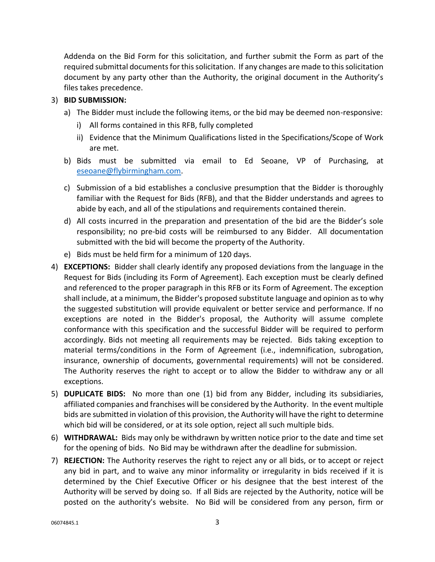Addenda on the Bid Form for this solicitation, and further submit the Form as part of the required submittal documents for this solicitation. If any changes are made to this solicitation document by any party other than the Authority, the original document in the Authority's files takes precedence.

# 3) **BID SUBMISSION:**

- a) The Bidder must include the following items, or the bid may be deemed non-responsive:
	- i) All forms contained in this RFB, fully completed
	- ii) Evidence that the Minimum Qualifications listed in the Specifications/Scope of Work are met.
- b) Bids must be submitted via email to Ed Seoane, VP of Purchasing, at [eseoane@flybirmingham.com.](mailto:eseoane@flybirmingham.com)
- c) Submission of a bid establishes a conclusive presumption that the Bidder is thoroughly familiar with the Request for Bids (RFB), and that the Bidder understands and agrees to abide by each, and all of the stipulations and requirements contained therein.
- d) All costs incurred in the preparation and presentation of the bid are the Bidder's sole responsibility; no pre-bid costs will be reimbursed to any Bidder. All documentation submitted with the bid will become the property of the Authority.
- e) Bids must be held firm for a minimum of 120 days.
- 4) **EXCEPTIONS:** Bidder shall clearly identify any proposed deviations from the language in the Request for Bids (including its Form of Agreement). Each exception must be clearly defined and referenced to the proper paragraph in this RFB or its Form of Agreement. The exception shall include, at a minimum, the Bidder's proposed substitute language and opinion as to why the suggested substitution will provide equivalent or better service and performance. If no exceptions are noted in the Bidder's proposal, the Authority will assume complete conformance with this specification and the successful Bidder will be required to perform accordingly. Bids not meeting all requirements may be rejected. Bids taking exception to material terms/conditions in the Form of Agreement (i.e., indemnification, subrogation, insurance, ownership of documents, governmental requirements) will not be considered. The Authority reserves the right to accept or to allow the Bidder to withdraw any or all exceptions.
- 5) **DUPLICATE BIDS:** No more than one (1) bid from any Bidder, including its subsidiaries, affiliated companies and franchises will be considered by the Authority. In the event multiple bids are submitted in violation of this provision, the Authority will have the right to determine which bid will be considered, or at its sole option, reject all such multiple bids.
- 6) **WITHDRAWAL:** Bids may only be withdrawn by written notice prior to the date and time set for the opening of bids. No Bid may be withdrawn after the deadline for submission.
- 7) **REJECTION:** The Authority reserves the right to reject any or all bids, or to accept or reject any bid in part, and to waive any minor informality or irregularity in bids received if it is determined by the Chief Executive Officer or his designee that the best interest of the Authority will be served by doing so. If all Bids are rejected by the Authority, notice will be posted on the authority's website. No Bid will be considered from any person, firm or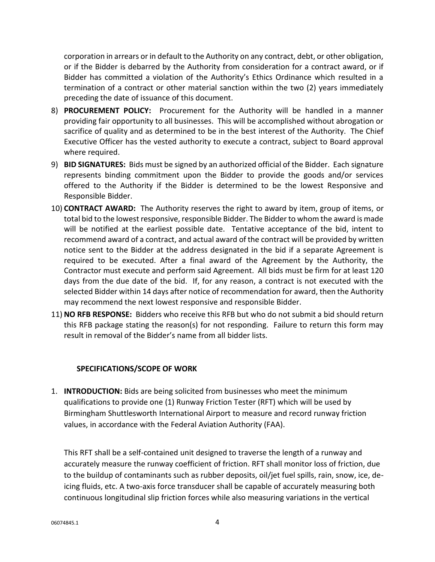corporation in arrears or in default to the Authority on any contract, debt, or other obligation, or if the Bidder is debarred by the Authority from consideration for a contract award, or if Bidder has committed a violation of the Authority's Ethics Ordinance which resulted in a termination of a contract or other material sanction within the two (2) years immediately preceding the date of issuance of this document.

- 8) **PROCUREMENT POLICY:** Procurement for the Authority will be handled in a manner providing fair opportunity to all businesses. This will be accomplished without abrogation or sacrifice of quality and as determined to be in the best interest of the Authority. The Chief Executive Officer has the vested authority to execute a contract, subject to Board approval where required.
- 9) **BID SIGNATURES:** Bids must be signed by an authorized official of the Bidder. Each signature represents binding commitment upon the Bidder to provide the goods and/or services offered to the Authority if the Bidder is determined to be the lowest Responsive and Responsible Bidder.
- 10) **CONTRACT AWARD:** The Authority reserves the right to award by item, group of items, or total bid to the lowest responsive, responsible Bidder. The Bidder to whom the award is made will be notified at the earliest possible date. Tentative acceptance of the bid, intent to recommend award of a contract, and actual award of the contract will be provided by written notice sent to the Bidder at the address designated in the bid if a separate Agreement is required to be executed. After a final award of the Agreement by the Authority, the Contractor must execute and perform said Agreement. All bids must be firm for at least 120 days from the due date of the bid. If, for any reason, a contract is not executed with the selected Bidder within 14 days after notice of recommendation for award, then the Authority may recommend the next lowest responsive and responsible Bidder.
- 11) **NO RFB RESPONSE:** Bidders who receive this RFB but who do not submit a bid should return this RFB package stating the reason(s) for not responding. Failure to return this form may result in removal of the Bidder's name from all bidder lists.

# **SPECIFICATIONS/SCOPE OF WORK**

1. **INTRODUCTION:** Bids are being solicited from businesses who meet the minimum qualifications to provide one (1) Runway Friction Tester (RFT) which will be used by Birmingham Shuttlesworth International Airport to measure and record runway friction values, in accordance with the Federal Aviation Authority (FAA).

This RFT shall be a self-contained unit designed to traverse the length of a runway and accurately measure the runway coefficient of friction. RFT shall monitor loss of friction, due to the buildup of contaminants such as rubber deposits, oil/jet fuel spills, rain, snow, ice, deicing fluids, etc. A two-axis force transducer shall be capable of accurately measuring both continuous longitudinal slip friction forces while also measuring variations in the vertical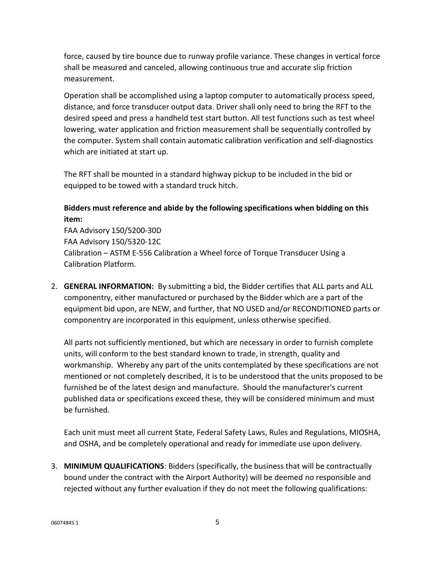force, caused by tire bounce due to runway profile variance. These changes in vertical force shall be measured and canceled, allowing continuous true and accurate slip friction measurement.

Operation shall be accomplished using a laptop computer to automatically process speed, distance, and force transducer output data. Driver shall only need to bring the RFT to the desired speed and press a handheld test start button. All test functions such as test wheel lowering, water application and friction measurement shall be sequentially controlled by the computer. System shall contain automatic calibration verification and self-diagnostics which are initiated at start up.

The RFT shall be mounted in a standard highway pickup to be included in the bid or equipped to be towed with a standard truck hitch.

# **Bidders must reference and abide by the following specifications when bidding on this item:**

FAA Advisory 150/5200-30D FAA Advisory 150/5320-12C Calibration – ASTM E-556 Calibration a Wheel force of Torque Transducer Using a Calibration Platform.

2. **GENERAL INFORMATION:** By submitting a bid, the Bidder certifies that ALL parts and ALL componentry, either manufactured or purchased by the Bidder which are a part of the equipment bid upon, are NEW, and further, that NO USED and/or RECONDITIONED parts or componentry are incorporated in this equipment, unless otherwise specified.

All parts not sufficiently mentioned, but which are necessary in order to furnish complete units, will conform to the best standard known to trade, in strength, quality and workmanship. Whereby any part of the units contemplated by these specifications are not mentioned or not completely described, it is to be understood that the units proposed to be furnished be of the latest design and manufacture. Should the manufacturer's current published data or specifications exceed these, they will be considered minimum and must be furnished.

Each unit must meet all current State, Federal Safety Laws, Rules and Regulations, MIOSHA, and OSHA, and be completely operational and ready for immediate use upon delivery.

3. **MINIMUM QUALIFICATIONS**: Bidders (specifically, the business that will be contractually bound under the contract with the Airport Authority) will be deemed no responsible and rejected without any further evaluation if they do not meet the following qualifications: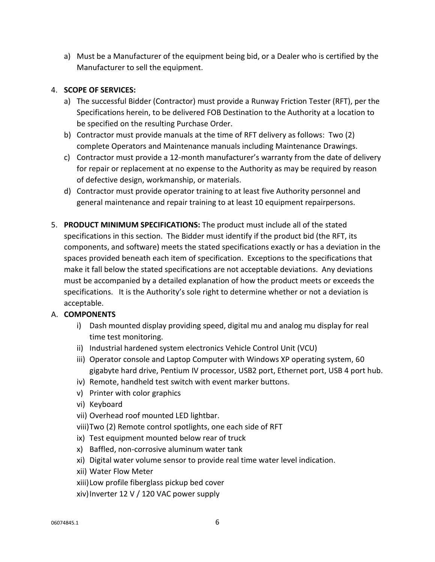a) Must be a Manufacturer of the equipment being bid, or a Dealer who is certified by the Manufacturer to sell the equipment.

# 4. **SCOPE OF SERVICES:**

- a) The successful Bidder (Contractor) must provide a Runway Friction Tester (RFT), per the Specifications herein, to be delivered FOB Destination to the Authority at a location to be specified on the resulting Purchase Order.
- b) Contractor must provide manuals at the time of RFT delivery as follows: Two (2) complete Operators and Maintenance manuals including Maintenance Drawings.
- c) Contractor must provide a 12-month manufacturer's warranty from the date of delivery for repair or replacement at no expense to the Authority as may be required by reason of defective design, workmanship, or materials.
- d) Contractor must provide operator training to at least five Authority personnel and general maintenance and repair training to at least 10 equipment repairpersons.
- 5. **PRODUCT MINIMUM SPECIFICATIONS:** The product must include all of the stated specifications in this section. The Bidder must identify if the product bid (the RFT, its components, and software) meets the stated specifications exactly or has a deviation in the spaces provided beneath each item of specification. Exceptions to the specifications that make it fall below the stated specifications are not acceptable deviations. Any deviations must be accompanied by a detailed explanation of how the product meets or exceeds the specifications. It is the Authority's sole right to determine whether or not a deviation is acceptable.

# A. **COMPONENTS**

- i) Dash mounted display providing speed, digital mu and analog mu display for real time test monitoring.
- ii) Industrial hardened system electronics Vehicle Control Unit (VCU)
- iii) Operator console and Laptop Computer with Windows XP operating system, 60 gigabyte hard drive, Pentium IV processor, USB2 port, Ethernet port, USB 4 port hub.
- iv) Remote, handheld test switch with event marker buttons.
- v) Printer with color graphics
- vi) Keyboard
- vii) Overhead roof mounted LED lightbar.
- viii)Two (2) Remote control spotlights, one each side of RFT
- ix) Test equipment mounted below rear of truck
- x) Baffled, non-corrosive aluminum water tank
- xi) Digital water volume sensor to provide real time water level indication.
- xii) Water Flow Meter
- xiii)Low profile fiberglass pickup bed cover
- xiv)Inverter 12 V / 120 VAC power supply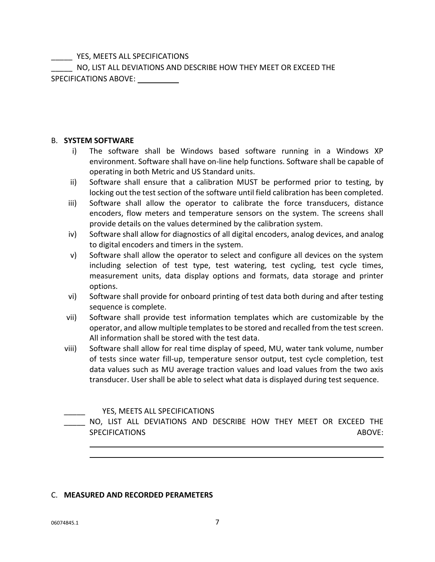YES, MEETS ALL SPECIFICATIONS

\_\_\_\_\_ NO, LIST ALL DEVIATIONS AND DESCRIBE HOW THEY MEET OR EXCEED THE SPECIFICATIONS ABOVE:

# B. **SYSTEM SOFTWARE**

- i) The software shall be Windows based software running in a Windows XP environment. Software shall have on-line help functions. Software shall be capable of operating in both Metric and US Standard units.
- ii) Software shall ensure that a calibration MUST be performed prior to testing, by locking out the test section of the software until field calibration has been completed.
- iii) Software shall allow the operator to calibrate the force transducers, distance encoders, flow meters and temperature sensors on the system. The screens shall provide details on the values determined by the calibration system.
- iv) Software shall allow for diagnostics of all digital encoders, analog devices, and analog to digital encoders and timers in the system.
- v) Software shall allow the operator to select and configure all devices on the system including selection of test type, test watering, test cycling, test cycle times, measurement units, data display options and formats, data storage and printer options.
- vi) Software shall provide for onboard printing of test data both during and after testing sequence is complete.
- vii) Software shall provide test information templates which are customizable by the operator, and allow multiple templates to be stored and recalled from the test screen. All information shall be stored with the test data.
- viii) Software shall allow for real time display of speed, MU, water tank volume, number of tests since water fill-up, temperature sensor output, test cycle completion, test data values such as MU average traction values and load values from the two axis transducer. User shall be able to select what data is displayed during test sequence.

# YES, MEETS ALL SPECIFICATIONS

NO, LIST ALL DEVIATIONS AND DESCRIBE HOW THEY MEET OR EXCEED THE SPECIFICATIONS ABOVE:

# C. **MEASURED AND RECORDED PERAMETERS**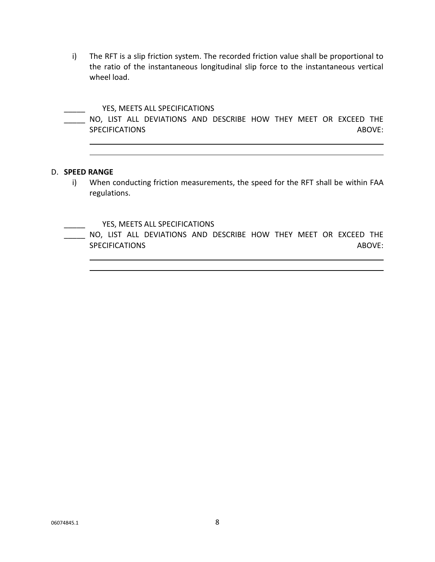i) The RFT is a slip friction system. The recorded friction value shall be proportional to the ratio of the instantaneous longitudinal slip force to the instantaneous vertical wheel load.

#### YES, MEETS ALL SPECIFICATIONS

|  |                       | NO, LIST ALL DEVIATIONS AND DESCRIBE HOW THEY MEET OR EXCEED THE |  |  |  |        |
|--|-----------------------|------------------------------------------------------------------|--|--|--|--------|
|  | <b>SPECIFICATIONS</b> |                                                                  |  |  |  | ABOVE: |

## D. **SPEED RANGE**

i) When conducting friction measurements, the speed for the RFT shall be within FAA regulations.

YES, MEETS ALL SPECIFICATIONS

NO, LIST ALL DEVIATIONS AND DESCRIBE HOW THEY MEET OR EXCEED THE SPECIFICATIONS ABOVE: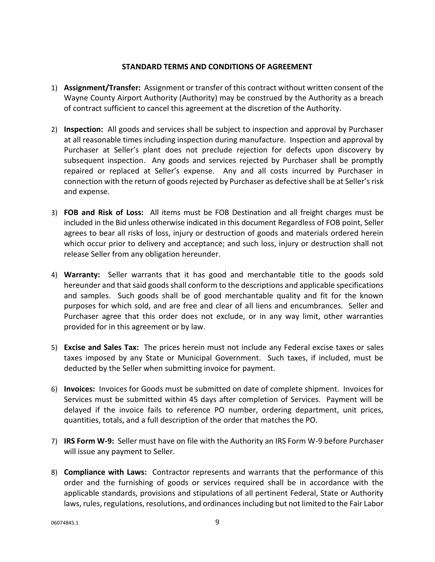## **STANDARD TERMS AND CONDITIONS OF AGREEMENT**

- 1) **Assignment/Transfer:** Assignment or transfer of this contract without written consent of the Wayne County Airport Authority (Authority) may be construed by the Authority as a breach of contract sufficient to cancel this agreement at the discretion of the Authority.
- 2) **Inspection:** All goods and services shall be subject to inspection and approval by Purchaser at all reasonable times including inspection during manufacture. Inspection and approval by Purchaser at Seller's plant does not preclude rejection for defects upon discovery by subsequent inspection. Any goods and services rejected by Purchaser shall be promptly repaired or replaced at Seller's expense. Any and all costs incurred by Purchaser in connection with the return of goods rejected by Purchaser as defective shall be at Seller's risk and expense.
- 3) **FOB and Risk of Loss:** All items must be FOB Destination and all freight charges must be included in the Bid unless otherwise indicated in this document Regardless of FOB point, Seller agrees to bear all risks of loss, injury or destruction of goods and materials ordered herein which occur prior to delivery and acceptance; and such loss, injury or destruction shall not release Seller from any obligation hereunder.
- 4) **Warranty:** Seller warrants that it has good and merchantable title to the goods sold hereunder and that said goods shall conform to the descriptions and applicable specifications and samples. Such goods shall be of good merchantable quality and fit for the known purposes for which sold, and are free and clear of all liens and encumbrances. Seller and Purchaser agree that this order does not exclude, or in any way limit, other warranties provided for in this agreement or by law.
- 5) **Excise and Sales Tax:** The prices herein must not include any Federal excise taxes or sales taxes imposed by any State or Municipal Government. Such taxes, if included, must be deducted by the Seller when submitting invoice for payment.
- 6) **Invoices:** Invoices for Goods must be submitted on date of complete shipment. Invoices for Services must be submitted within 45 days after completion of Services. Payment will be delayed if the invoice fails to reference PO number, ordering department, unit prices, quantities, totals, and a full description of the order that matches the PO.
- 7) **IRS Form W-9:** Seller must have on file with the Authority an IRS Form W-9 before Purchaser will issue any payment to Seller.
- 8) **Compliance with Laws:** Contractor represents and warrants that the performance of this order and the furnishing of goods or services required shall be in accordance with the applicable standards, provisions and stipulations of all pertinent Federal, State or Authority laws, rules, regulations, resolutions, and ordinances including but not limited to the Fair Labor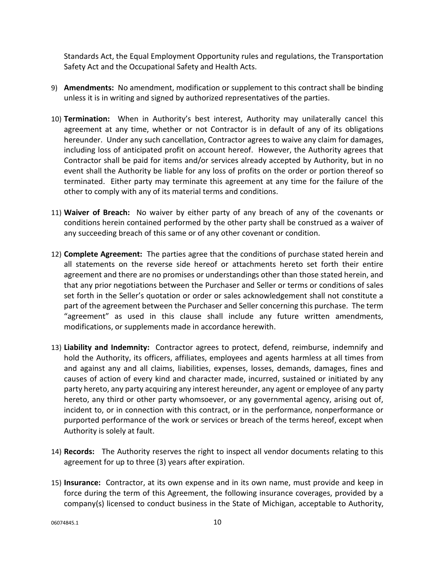Standards Act, the Equal Employment Opportunity rules and regulations, the Transportation Safety Act and the Occupational Safety and Health Acts.

- 9) **Amendments:** No amendment, modification or supplement to this contract shall be binding unless it is in writing and signed by authorized representatives of the parties.
- 10) **Termination:** When in Authority's best interest, Authority may unilaterally cancel this agreement at any time, whether or not Contractor is in default of any of its obligations hereunder. Under any such cancellation, Contractor agrees to waive any claim for damages, including loss of anticipated profit on account hereof. However, the Authority agrees that Contractor shall be paid for items and/or services already accepted by Authority, but in no event shall the Authority be liable for any loss of profits on the order or portion thereof so terminated. Either party may terminate this agreement at any time for the failure of the other to comply with any of its material terms and conditions.
- 11) **Waiver of Breach:** No waiver by either party of any breach of any of the covenants or conditions herein contained performed by the other party shall be construed as a waiver of any succeeding breach of this same or of any other covenant or condition.
- 12) **Complete Agreement:** The parties agree that the conditions of purchase stated herein and all statements on the reverse side hereof or attachments hereto set forth their entire agreement and there are no promises or understandings other than those stated herein, and that any prior negotiations between the Purchaser and Seller or terms or conditions of sales set forth in the Seller's quotation or order or sales acknowledgement shall not constitute a part of the agreement between the Purchaser and Seller concerning this purchase. The term "agreement" as used in this clause shall include any future written amendments, modifications, or supplements made in accordance herewith.
- 13) **Liability and Indemnity:** Contractor agrees to protect, defend, reimburse, indemnify and hold the Authority, its officers, affiliates, employees and agents harmless at all times from and against any and all claims, liabilities, expenses, losses, demands, damages, fines and causes of action of every kind and character made, incurred, sustained or initiated by any party hereto, any party acquiring any interest hereunder, any agent or employee of any party hereto, any third or other party whomsoever, or any governmental agency, arising out of, incident to, or in connection with this contract, or in the performance, nonperformance or purported performance of the work or services or breach of the terms hereof, except when Authority is solely at fault.
- 14) **Records:** The Authority reserves the right to inspect all vendor documents relating to this agreement for up to three (3) years after expiration.
- 15) **Insurance:** Contractor, at its own expense and in its own name, must provide and keep in force during the term of this Agreement, the following insurance coverages, provided by a company(s) licensed to conduct business in the State of Michigan, acceptable to Authority,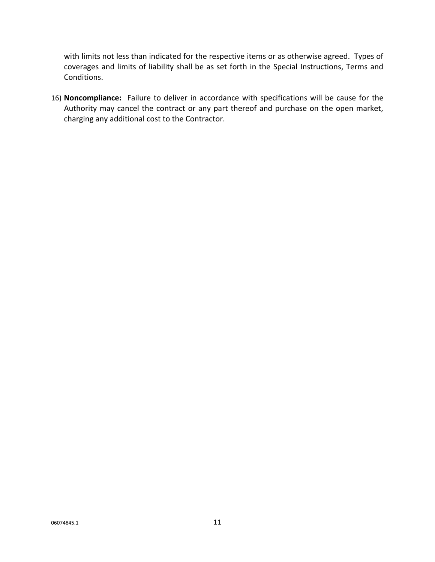with limits not less than indicated for the respective items or as otherwise agreed. Types of coverages and limits of liability shall be as set forth in the Special Instructions, Terms and Conditions.

16) **Noncompliance:** Failure to deliver in accordance with specifications will be cause for the Authority may cancel the contract or any part thereof and purchase on the open market, charging any additional cost to the Contractor.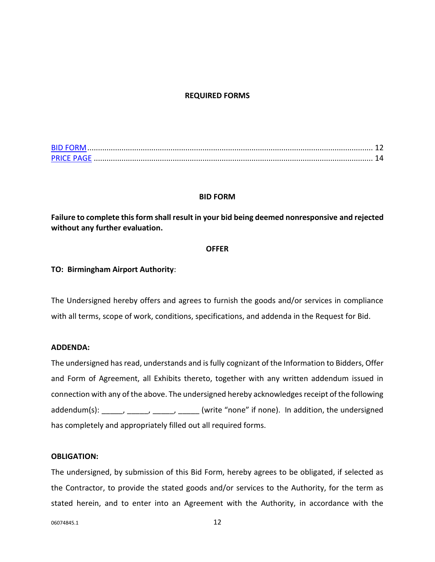#### **REQUIRED FORMS**

| <b>BID FORM</b>   |  |
|-------------------|--|
| <b>PRICE PAGE</b> |  |

#### **BID FORM**

<span id="page-11-0"></span>**Failure to complete this form shall result in your bid being deemed nonresponsive and rejected without any further evaluation.**

#### **OFFER**

#### **TO: Birmingham Airport Authority**:

The Undersigned hereby offers and agrees to furnish the goods and/or services in compliance with all terms, scope of work, conditions, specifications, and addenda in the Request for Bid.

## **ADDENDA:**

The undersigned has read, understands and is fully cognizant of the Information to Bidders, Offer and Form of Agreement, all Exhibits thereto, together with any written addendum issued in connection with any of the above. The undersigned hereby acknowledges receipt of the following addendum(s): \_\_\_\_\_, \_\_\_\_\_, \_\_\_\_\_, \_\_\_\_\_ (write "none" if none). In addition, the undersigned has completely and appropriately filled out all required forms.

#### **OBLIGATION:**

The undersigned, by submission of this Bid Form, hereby agrees to be obligated, if selected as the Contractor, to provide the stated goods and/or services to the Authority, for the term as stated herein, and to enter into an Agreement with the Authority, in accordance with the

06074845.1 12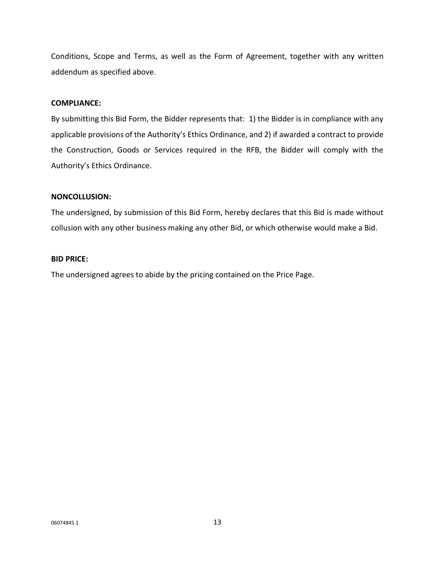Conditions, Scope and Terms, as well as the Form of Agreement, together with any written addendum as specified above.

#### **COMPLIANCE:**

By submitting this Bid Form, the Bidder represents that: 1) the Bidder is in compliance with any applicable provisions of the Authority's Ethics Ordinance, and 2) if awarded a contract to provide the Construction, Goods or Services required in the RFB, the Bidder will comply with the Authority's Ethics Ordinance.

#### **NONCOLLUSION:**

The undersigned, by submission of this Bid Form, hereby declares that this Bid is made without collusion with any other business making any other Bid, or which otherwise would make a Bid.

## **BID PRICE:**

The undersigned agrees to abide by the pricing contained on the Price Page.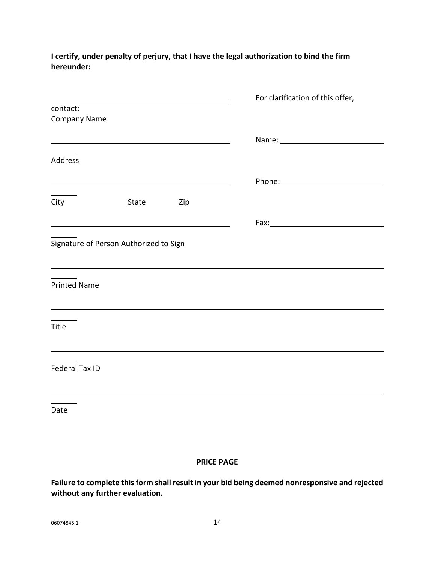|                     |                                                                                                                       | For clarification of this offer,                                                                              |
|---------------------|-----------------------------------------------------------------------------------------------------------------------|---------------------------------------------------------------------------------------------------------------|
| contact:            |                                                                                                                       |                                                                                                               |
| <b>Company Name</b> |                                                                                                                       |                                                                                                               |
|                     |                                                                                                                       |                                                                                                               |
|                     |                                                                                                                       |                                                                                                               |
| Address             |                                                                                                                       |                                                                                                               |
|                     |                                                                                                                       | Phone: 2008 2010 2010 2010 2011 2021 2022 2023 2024 2022 2023 2024 2022 2023 2024 2025 2026 2027 2028 2021 20 |
|                     | <u> 1989 - Johann Stoff, Amerikaansk politiker († 1908)</u>                                                           |                                                                                                               |
| City                | State Zip                                                                                                             |                                                                                                               |
|                     |                                                                                                                       |                                                                                                               |
|                     |                                                                                                                       |                                                                                                               |
|                     | Signature of Person Authorized to Sign                                                                                |                                                                                                               |
|                     |                                                                                                                       |                                                                                                               |
|                     | <u> 1989 - Johann Stoff, deutscher Stoff, der Stoff, der Stoff, der Stoff, der Stoff, der Stoff, der Stoff, der S</u> |                                                                                                               |
| <b>Printed Name</b> |                                                                                                                       |                                                                                                               |
|                     |                                                                                                                       |                                                                                                               |
|                     | <u> 1980 - Johann Barbara, martin da basar a shekara 1980 - An tsara 1980 - An tsara 1980 - An tsara 1980 - An ts</u> |                                                                                                               |
| Title               |                                                                                                                       |                                                                                                               |
|                     |                                                                                                                       |                                                                                                               |
|                     |                                                                                                                       |                                                                                                               |
| Federal Tax ID      |                                                                                                                       |                                                                                                               |
|                     |                                                                                                                       |                                                                                                               |
|                     |                                                                                                                       |                                                                                                               |
|                     |                                                                                                                       |                                                                                                               |
| Date                |                                                                                                                       |                                                                                                               |
|                     |                                                                                                                       |                                                                                                               |

# **I certify, under penalty of perjury, that I have the legal authorization to bind the firm hereunder:**

# **PRICE PAGE**

<span id="page-13-0"></span>**Failure to complete this form shall result in your bid being deemed nonresponsive and rejected without any further evaluation.**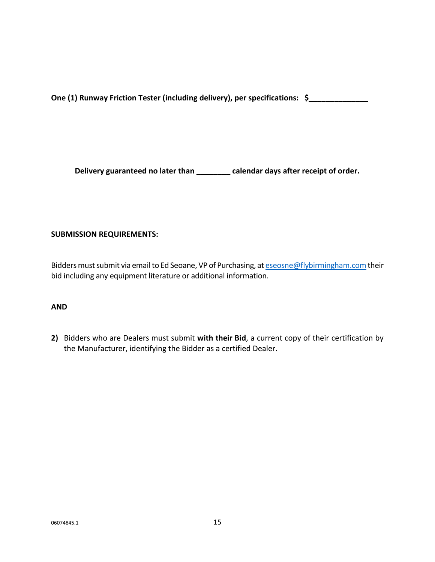**One (1) Runway Friction Tester (including delivery), per specifications: \$\_\_\_\_\_\_\_\_\_\_\_\_\_\_**

**Delivery guaranteed no later than \_\_\_\_\_\_\_\_ calendar days after receipt of order.**

# **SUBMISSION REQUIREMENTS:**

Bidders must submit via email to Ed Seoane, VP of Purchasing, at eseosne@flybirmingham.com their bid including any equipment literature or additional information.

# **AND**

**2)** Bidders who are Dealers must submit **with their Bid**, a current copy of their certification by the Manufacturer, identifying the Bidder as a certified Dealer.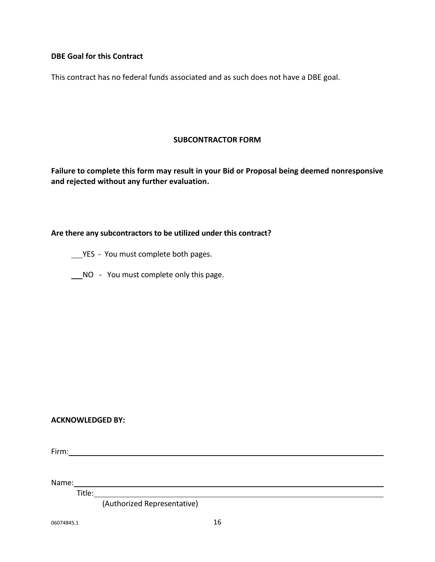# **DBE Goal for this Contract**

This contract has no federal funds associated and as such does not have a DBE goal.

## **SUBCONTRACTOR FORM**

**Failure to complete this form may result in your Bid or Proposal being deemed nonresponsive and rejected without any further evaluation.**

# **Are there any subcontractors to be utilized under this contract?**

YES - You must complete both pages.

NO - You must complete only this page.

#### **ACKNOWLEDGED BY:**

Firm:

Name: Name: Name: Name: Name: Name: Name: Name: Name: Name: Name: Name: Name: Name: Name: Name: Name: Name: Name: Name: Name: Name: Name: Name: Name: Name: Name: Name: Name: Name: Name: Name: Name: Name: Name: Name: Name:

Title:

(Authorized Representative)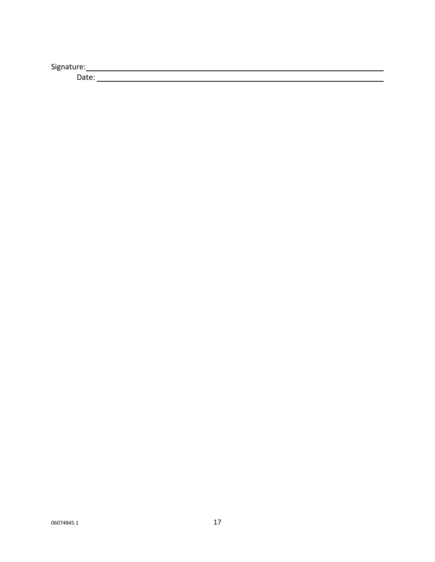Signature: and the state of the state of the state of the state of the state of the state of the state of the state of the state of the state of the state of the state of the state of the state of the state of the state of

Date: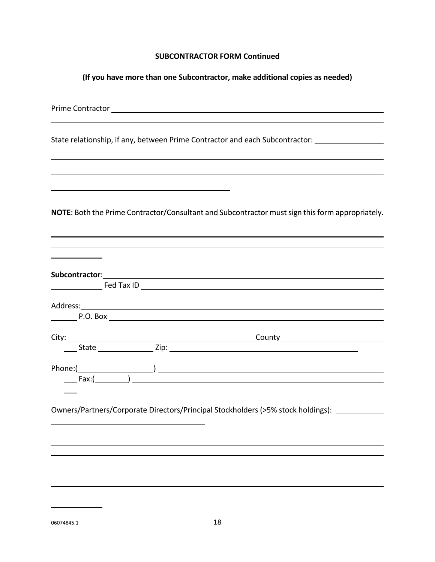#### **SUBCONTRACTOR FORM Continued**

**(If you have more than one Subcontractor, make additional copies as needed)**

Prime Contractor

State relationship, if any, between Prime Contractor and each Subcontractor:

**NOTE**: Both the Prime Contractor/Consultant and Subcontractor must sign this form appropriately.

| $\begin{picture}(150,10) \put(0,0){\vector(1,0){100}} \put(15,0){\vector(1,0){100}} \put(15,0){\vector(1,0){100}} \put(15,0){\vector(1,0){100}} \put(15,0){\vector(1,0){100}} \put(15,0){\vector(1,0){100}} \put(15,0){\vector(1,0){100}} \put(15,0){\vector(1,0){100}} \put(15,0){\vector(1,0){100}} \put(15,0){\vector(1,0){100}} \put(15,0){\vector(1,0){100}}$ |
|--------------------------------------------------------------------------------------------------------------------------------------------------------------------------------------------------------------------------------------------------------------------------------------------------------------------------------------------------------------------|
|                                                                                                                                                                                                                                                                                                                                                                    |
| Owners/Partners/Corporate Directors/Principal Stockholders (>5% stock holdings):                                                                                                                                                                                                                                                                                   |
|                                                                                                                                                                                                                                                                                                                                                                    |
|                                                                                                                                                                                                                                                                                                                                                                    |
|                                                                                                                                                                                                                                                                                                                                                                    |

06074845.1 18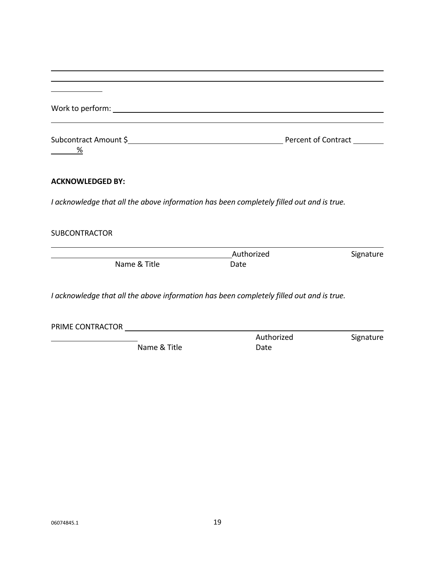| Work to perform: Note that the set of the set of the set of the set of the set of the set of the set of the set of the set of the set of the set of the set of the set of the set of the set of the set of the set of the set |            |           |
|-------------------------------------------------------------------------------------------------------------------------------------------------------------------------------------------------------------------------------|------------|-----------|
| %                                                                                                                                                                                                                             |            |           |
| <b>ACKNOWLEDGED BY:</b>                                                                                                                                                                                                       |            |           |
| I acknowledge that all the above information has been completely filled out and is true.                                                                                                                                      |            |           |
| <b>SUBCONTRACTOR</b>                                                                                                                                                                                                          |            |           |
|                                                                                                                                                                                                                               | Authorized | Signature |
| Name & Title                                                                                                                                                                                                                  | Date       |           |
| I acknowledge that all the above information has been completely filled out and is true.                                                                                                                                      |            |           |
| PRIME CONTRACTOR <b>Example 2018</b>                                                                                                                                                                                          |            |           |
|                                                                                                                                                                                                                               | Authorized | Signature |
| Name & Title                                                                                                                                                                                                                  | Date       |           |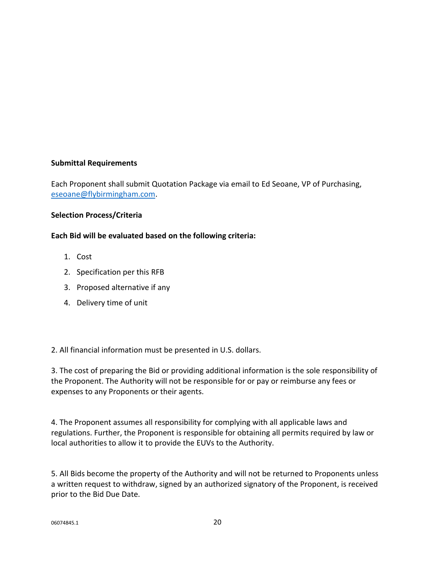# **Submittal Requirements**

Each Proponent shall submit Quotation Package via email to Ed Seoane, VP of Purchasing, [eseoane@flybirmingham.com.](mailto:eseoane@flybirmingham.com)

# **Selection Process/Criteria**

# **Each Bid will be evaluated based on the following criteria:**

- 1. Cost
- 2. Specification per this RFB
- 3. Proposed alternative if any
- 4. Delivery time of unit

2. All financial information must be presented in U.S. dollars.

3. The cost of preparing the Bid or providing additional information is the sole responsibility of the Proponent. The Authority will not be responsible for or pay or reimburse any fees or expenses to any Proponents or their agents.

4. The Proponent assumes all responsibility for complying with all applicable laws and regulations. Further, the Proponent is responsible for obtaining all permits required by law or local authorities to allow it to provide the EUVs to the Authority.

5. All Bids become the property of the Authority and will not be returned to Proponents unless a written request to withdraw, signed by an authorized signatory of the Proponent, is received prior to the Bid Due Date.